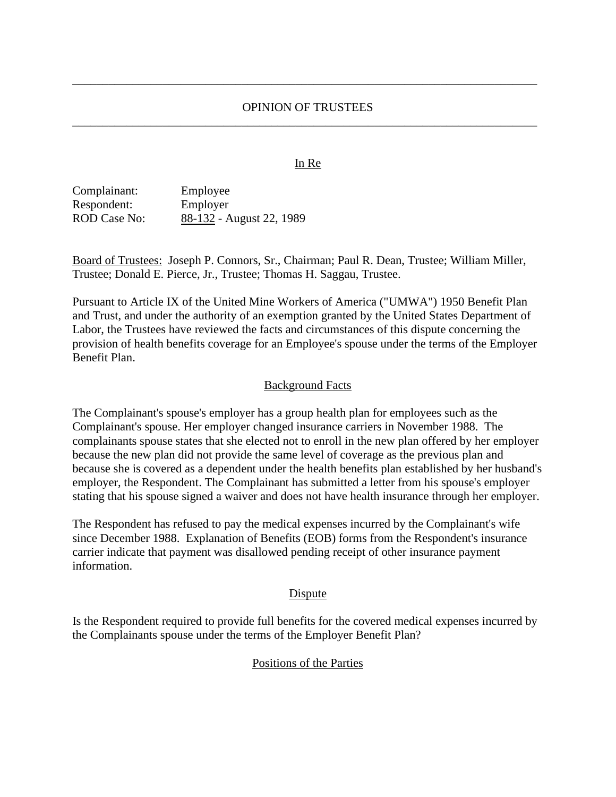### OPINION OF TRUSTEES \_\_\_\_\_\_\_\_\_\_\_\_\_\_\_\_\_\_\_\_\_\_\_\_\_\_\_\_\_\_\_\_\_\_\_\_\_\_\_\_\_\_\_\_\_\_\_\_\_\_\_\_\_\_\_\_\_\_\_\_\_\_\_\_\_\_\_\_\_\_\_\_\_\_\_\_\_

\_\_\_\_\_\_\_\_\_\_\_\_\_\_\_\_\_\_\_\_\_\_\_\_\_\_\_\_\_\_\_\_\_\_\_\_\_\_\_\_\_\_\_\_\_\_\_\_\_\_\_\_\_\_\_\_\_\_\_\_\_\_\_\_\_\_\_\_\_\_\_\_\_\_\_\_\_

### In Re

Complainant: Employee Respondent: Employer ROD Case No: 88-132 - August 22, 1989

Board of Trustees: Joseph P. Connors, Sr., Chairman; Paul R. Dean, Trustee; William Miller, Trustee; Donald E. Pierce, Jr., Trustee; Thomas H. Saggau, Trustee.

Pursuant to Article IX of the United Mine Workers of America ("UMWA") 1950 Benefit Plan and Trust, and under the authority of an exemption granted by the United States Department of Labor, the Trustees have reviewed the facts and circumstances of this dispute concerning the provision of health benefits coverage for an Employee's spouse under the terms of the Employer Benefit Plan.

### Background Facts

The Complainant's spouse's employer has a group health plan for employees such as the Complainant's spouse. Her employer changed insurance carriers in November 1988. The complainants spouse states that she elected not to enroll in the new plan offered by her employer because the new plan did not provide the same level of coverage as the previous plan and because she is covered as a dependent under the health benefits plan established by her husband's employer, the Respondent. The Complainant has submitted a letter from his spouse's employer stating that his spouse signed a waiver and does not have health insurance through her employer.

The Respondent has refused to pay the medical expenses incurred by the Complainant's wife since December 1988. Explanation of Benefits (EOB) forms from the Respondent's insurance carrier indicate that payment was disallowed pending receipt of other insurance payment information.

### Dispute

Is the Respondent required to provide full benefits for the covered medical expenses incurred by the Complainants spouse under the terms of the Employer Benefit Plan?

### Positions of the Parties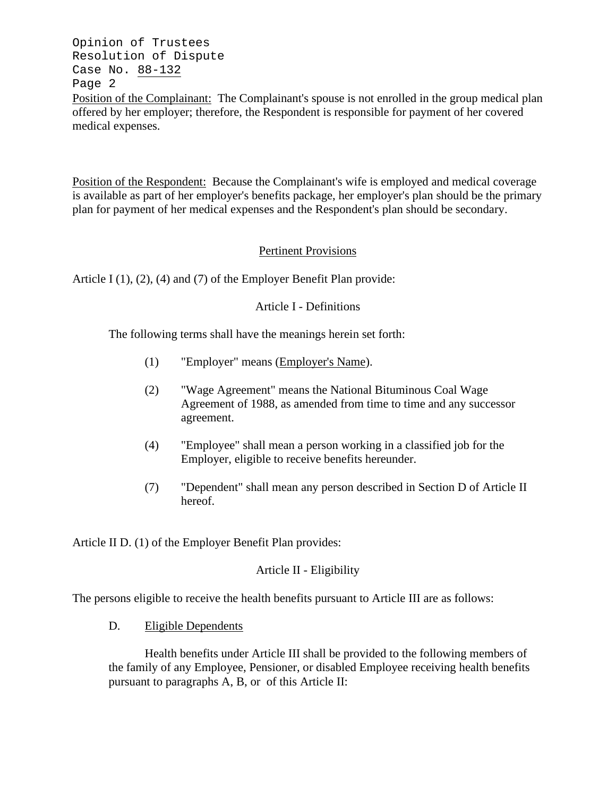Opinion of Trustees Resolution of Dispute Case No. 88-132 Page 2 Position of the Complainant: The Complainant's spouse is not enrolled in the group medical plan offered by her employer; therefore, the Respondent is responsible for payment of her covered medical expenses.

Position of the Respondent: Because the Complainant's wife is employed and medical coverage is available as part of her employer's benefits package, her employer's plan should be the primary plan for payment of her medical expenses and the Respondent's plan should be secondary.

## Pertinent Provisions

Article I (1), (2), (4) and (7) of the Employer Benefit Plan provide:

## Article I - Definitions

The following terms shall have the meanings herein set forth:

- (1) "Employer" means (Employer's Name).
- (2) "Wage Agreement" means the National Bituminous Coal Wage Agreement of 1988, as amended from time to time and any successor agreement.
- (4) "Employee" shall mean a person working in a classified job for the Employer, eligible to receive benefits hereunder.
- (7) "Dependent" shall mean any person described in Section D of Article II hereof.

Article II D. (1) of the Employer Benefit Plan provides:

# Article II - Eligibility

The persons eligible to receive the health benefits pursuant to Article III are as follows:

D. Eligible Dependents

Health benefits under Article III shall be provided to the following members of the family of any Employee, Pensioner, or disabled Employee receiving health benefits pursuant to paragraphs A, B, or of this Article II: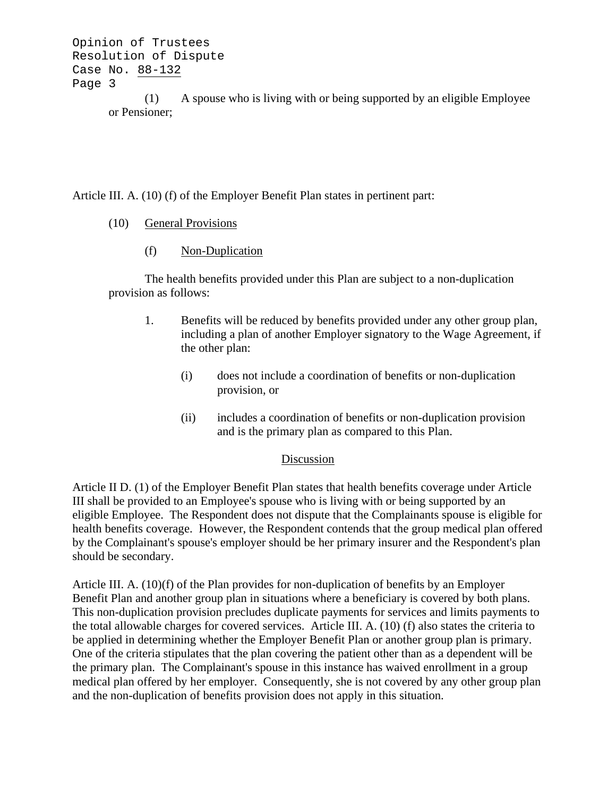```
Opinion of Trustees
Resolution of Dispute
Case No. 88-132
Page 3
            (1) A spouse who is living with or being supported by an eligible Employee
```

```
or Pensioner;
```
Article III. A. (10) (f) of the Employer Benefit Plan states in pertinent part:

- (10) General Provisions
	- (f) Non-Duplication

The health benefits provided under this Plan are subject to a non-duplication provision as follows:

- 1. Benefits will be reduced by benefits provided under any other group plan, including a plan of another Employer signatory to the Wage Agreement, if the other plan:
	- (i) does not include a coordination of benefits or non-duplication provision, or
	- (ii) includes a coordination of benefits or non-duplication provision and is the primary plan as compared to this Plan.

## Discussion

Article II D. (1) of the Employer Benefit Plan states that health benefits coverage under Article III shall be provided to an Employee's spouse who is living with or being supported by an eligible Employee. The Respondent does not dispute that the Complainants spouse is eligible for health benefits coverage. However, the Respondent contends that the group medical plan offered by the Complainant's spouse's employer should be her primary insurer and the Respondent's plan should be secondary.

Article III. A. (10)(f) of the Plan provides for non-duplication of benefits by an Employer Benefit Plan and another group plan in situations where a beneficiary is covered by both plans. This non-duplication provision precludes duplicate payments for services and limits payments to the total allowable charges for covered services. Article III. A. (10) (f) also states the criteria to be applied in determining whether the Employer Benefit Plan or another group plan is primary. One of the criteria stipulates that the plan covering the patient other than as a dependent will be the primary plan. The Complainant's spouse in this instance has waived enrollment in a group medical plan offered by her employer. Consequently, she is not covered by any other group plan and the non-duplication of benefits provision does not apply in this situation.